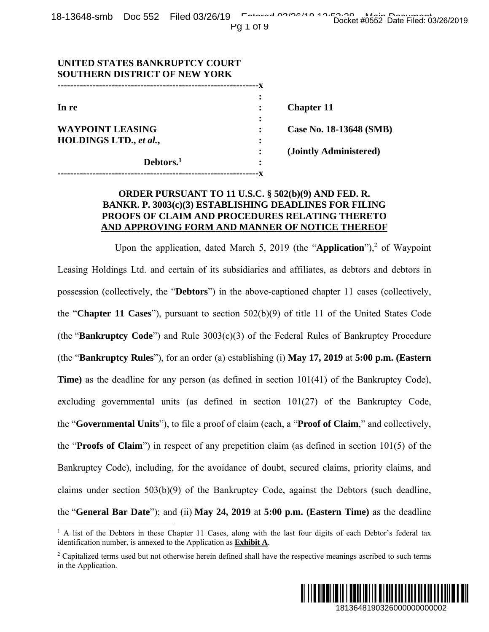| UNITED STATES BANKRUPTCY COURT<br><b>SOUTHERN DISTRICT OF NEW YORK</b> |   |                         |
|------------------------------------------------------------------------|---|-------------------------|
|                                                                        |   |                         |
|                                                                        |   |                         |
| In re                                                                  |   | <b>Chapter 11</b>       |
|                                                                        |   |                         |
| <b>WAYPOINT LEASING</b>                                                |   | Case No. 18-13648 (SMB) |
| HOLDINGS LTD., et al.,                                                 |   |                         |
|                                                                        |   | (Jointly Administered)  |
| Debtors. <sup>1</sup>                                                  | ٠ |                         |
|                                                                        |   |                         |

## **ORDER PURSUANT TO 11 U.S.C. § 502(b)(9) AND FED. R. BANKR. P. 3003(c)(3) ESTABLISHING DEADLINES FOR FILING PROOFS OF CLAIM AND PROCEDURES RELATING THERETO AND APPROVING FORM AND MANNER OF NOTICE THEREOF**

Upon the application, dated March 5, 2019 (the "Application"),<sup>2</sup> of Waypoint Leasing Holdings Ltd. and certain of its subsidiaries and affiliates, as debtors and debtors in possession (collectively, the "**Debtors**") in the above-captioned chapter 11 cases (collectively, the "**Chapter 11 Cases**"), pursuant to section 502(b)(9) of title 11 of the United States Code (the "**Bankruptcy Code**") and Rule 3003(c)(3) of the Federal Rules of Bankruptcy Procedure (the "**Bankruptcy Rules**"), for an order (a) establishing (i) **May 17, 2019** at **5:00 p.m. (Eastern Time**) as the deadline for any person (as defined in section 101(41) of the Bankruptcy Code), excluding governmental units (as defined in section 101(27) of the Bankruptcy Code, the "**Governmental Units**"), to file a proof of claim (each, a "**Proof of Claim**," and collectively, the "**Proofs of Claim**") in respect of any prepetition claim (as defined in section 101(5) of the Bankruptcy Code), including, for the avoidance of doubt, secured claims, priority claims, and claims under section 503(b)(9) of the Bankruptcy Code, against the Debtors (such deadline, the "**General Bar Date**"); and (ii) **May 24, 2019** at **5:00 p.m. (Eastern Time)** as the deadline 1813648190326000000000002 Docket #0552 Date Filed: 03/26/2019

 $\overline{a}$ 

<sup>&</sup>lt;sup>2</sup> Capitalized terms used but not otherwise herein defined shall have the respective meanings ascribed to such terms in the Application.



<sup>&</sup>lt;sup>1</sup> A list of the Debtors in these Chapter 11 Cases, along with the last four digits of each Debtor's federal tax identification number, is annexed to the Application as **Exhibit A**.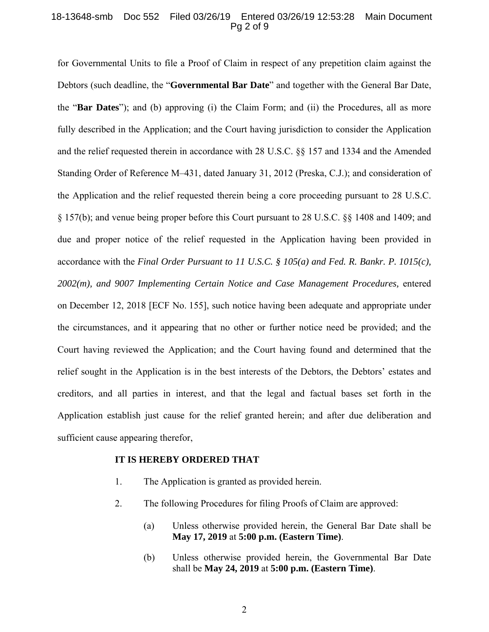#### 18-13648-smb Doc 552 Filed 03/26/19 Entered 03/26/19 12:53:28 Main Document Pg 2 of 9

for Governmental Units to file a Proof of Claim in respect of any prepetition claim against the Debtors (such deadline, the "**Governmental Bar Date**" and together with the General Bar Date, the "**Bar Dates**"); and (b) approving (i) the Claim Form; and (ii) the Procedures, all as more fully described in the Application; and the Court having jurisdiction to consider the Application and the relief requested therein in accordance with 28 U.S.C. §§ 157 and 1334 and the Amended Standing Order of Reference M-431, dated January 31, 2012 (Preska, C.J.); and consideration of the Application and the relief requested therein being a core proceeding pursuant to 28 U.S.C. § 157(b); and venue being proper before this Court pursuant to 28 U.S.C. §§ 1408 and 1409; and due and proper notice of the relief requested in the Application having been provided in accordance with the *Final Order Pursuant to 11 U.S.C. § 105(a) and Fed. R. Bankr. P. 1015(c), 2002(m), and 9007 Implementing Certain Notice and Case Management Procedures,* entered on December 12, 2018 [ECF No. 155], such notice having been adequate and appropriate under the circumstances, and it appearing that no other or further notice need be provided; and the Court having reviewed the Application; and the Court having found and determined that the relief sought in the Application is in the best interests of the Debtors, the Debtors' estates and creditors, and all parties in interest, and that the legal and factual bases set forth in the Application establish just cause for the relief granted herein; and after due deliberation and sufficient cause appearing therefor,

#### **IT IS HEREBY ORDERED THAT**

- 1. The Application is granted as provided herein.
- 2. The following Procedures for filing Proofs of Claim are approved:
	- (a) Unless otherwise provided herein, the General Bar Date shall be **May 17, 2019** at **5:00 p.m. (Eastern Time)**.
	- (b) Unless otherwise provided herein, the Governmental Bar Date shall be **May 24, 2019** at **5:00 p.m. (Eastern Time)**.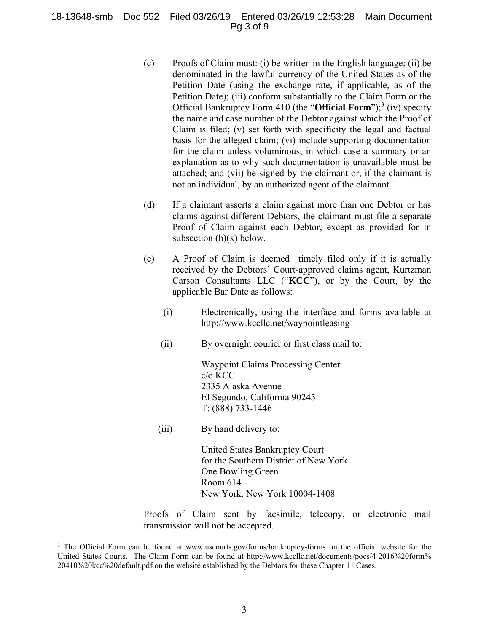### 18-13648-smb Doc 552 Filed 03/26/19 Entered 03/26/19 12:53:28 Main Document Pg 3 of 9

- (c) Proofs of Claim must: (i) be written in the English language; (ii) be denominated in the lawful currency of the United States as of the Petition Date (using the exchange rate, if applicable, as of the Petition Date); (iii) conform substantially to the Claim Form or the Official Bankruptcy Form 410 (the "**Official Form**");<sup>3</sup> (iv) specify the name and case number of the Debtor against which the Proof of Claim is filed; (v) set forth with specificity the legal and factual basis for the alleged claim; (vi) include supporting documentation for the claim unless voluminous, in which case a summary or an explanation as to why such documentation is unavailable must be attached; and (vii) be signed by the claimant or, if the claimant is not an individual, by an authorized agent of the claimant.
- (d) If a claimant asserts a claim against more than one Debtor or has claims against different Debtors, the claimant must file a separate Proof of Claim against each Debtor, except as provided for in subsection  $(h)(x)$  below.
- (e) A Proof of Claim is deemed timely filed only if it is actually received by the Debtors' Court-approved claims agent, Kurtzman Carson Consultants LLC ("**KCC**"), or by the Court, by the applicable Bar Date as follows:
	- (i) Electronically, using the interface and forms available at http://www.kccllc.net/waypointleasing
	- (ii) By overnight courier or first class mail to:

 Waypoint Claims Processing Center c/o KCC 2335 Alaska Avenue El Segundo, California 90245 T: (888) 733-1446

(iii) By hand delivery to:

 $\overline{a}$ 

United States Bankruptcy Court for the Southern District of New York One Bowling Green Room 614 New York, New York 10004-1408

Proofs of Claim sent by facsimile, telecopy, or electronic mail transmission will not be accepted.

<sup>&</sup>lt;sup>3</sup> The Official Form can be found at www.uscourts.gov/forms/bankruptcy-forms on the official website for the United States Courts. The Claim Form can be found at http://www.kccllc.net/documents/pocs/4-2016%20form% 20410%20kcc%20default.pdf on the website established by the Debtors for these Chapter 11 Cases.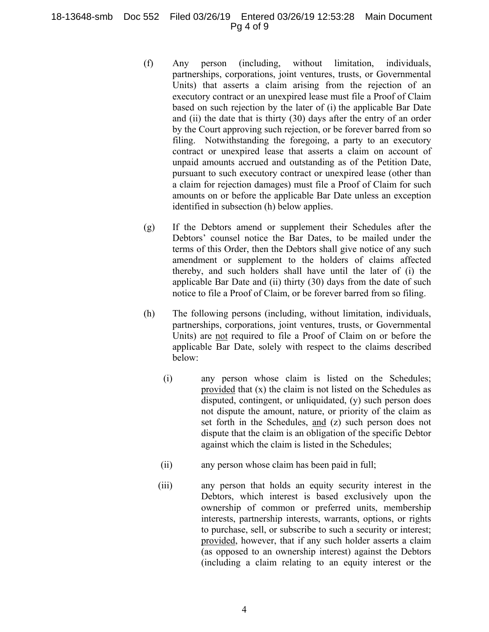## 18-13648-smb Doc 552 Filed 03/26/19 Entered 03/26/19 12:53:28 Main Document Pg 4 of 9

- (f) Any person (including, without limitation, individuals, partnerships, corporations, joint ventures, trusts, or Governmental Units) that asserts a claim arising from the rejection of an executory contract or an unexpired lease must file a Proof of Claim based on such rejection by the later of (i) the applicable Bar Date and (ii) the date that is thirty (30) days after the entry of an order by the Court approving such rejection, or be forever barred from so filing. Notwithstanding the foregoing, a party to an executory contract or unexpired lease that asserts a claim on account of unpaid amounts accrued and outstanding as of the Petition Date, pursuant to such executory contract or unexpired lease (other than a claim for rejection damages) must file a Proof of Claim for such amounts on or before the applicable Bar Date unless an exception identified in subsection (h) below applies.
- (g) If the Debtors amend or supplement their Schedules after the Debtors' counsel notice the Bar Dates, to be mailed under the terms of this Order, then the Debtors shall give notice of any such amendment or supplement to the holders of claims affected thereby, and such holders shall have until the later of (i) the applicable Bar Date and (ii) thirty (30) days from the date of such notice to file a Proof of Claim, or be forever barred from so filing.
- (h) The following persons (including, without limitation, individuals, partnerships, corporations, joint ventures, trusts, or Governmental Units) are not required to file a Proof of Claim on or before the applicable Bar Date, solely with respect to the claims described below:
	- (i) any person whose claim is listed on the Schedules; provided that (x) the claim is not listed on the Schedules as disputed, contingent, or unliquidated, (y) such person does not dispute the amount, nature, or priority of the claim as set forth in the Schedules, and (z) such person does not dispute that the claim is an obligation of the specific Debtor against which the claim is listed in the Schedules;
	- (ii) any person whose claim has been paid in full;
	- (iii) any person that holds an equity security interest in the Debtors, which interest is based exclusively upon the ownership of common or preferred units, membership interests, partnership interests, warrants, options, or rights to purchase, sell, or subscribe to such a security or interest; provided, however, that if any such holder asserts a claim (as opposed to an ownership interest) against the Debtors (including a claim relating to an equity interest or the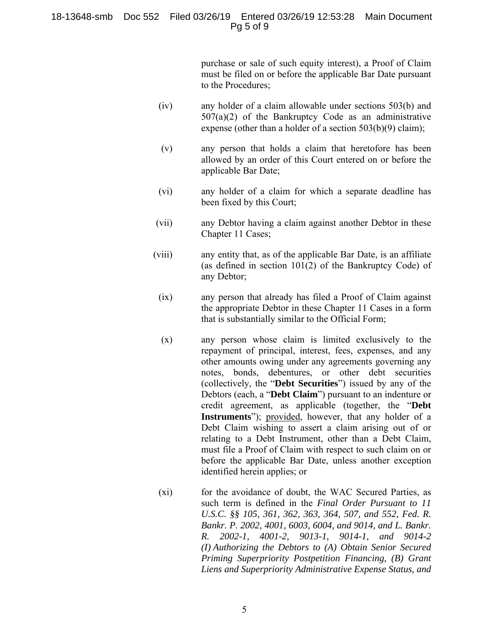## 18-13648-smb Doc 552 Filed 03/26/19 Entered 03/26/19 12:53:28 Main Document Pg 5 of 9

purchase or sale of such equity interest), a Proof of Claim must be filed on or before the applicable Bar Date pursuant to the Procedures;

- (iv) any holder of a claim allowable under sections 503(b) and 507(a)(2) of the Bankruptcy Code as an administrative expense (other than a holder of a section 503(b)(9) claim);
- (v) any person that holds a claim that heretofore has been allowed by an order of this Court entered on or before the applicable Bar Date;
- (vi) any holder of a claim for which a separate deadline has been fixed by this Court;
- (vii) any Debtor having a claim against another Debtor in these Chapter 11 Cases;
- (viii) any entity that, as of the applicable Bar Date, is an affiliate (as defined in section 101(2) of the Bankruptcy Code) of any Debtor;
- (ix) any person that already has filed a Proof of Claim against the appropriate Debtor in these Chapter 11 Cases in a form that is substantially similar to the Official Form;
- (x) any person whose claim is limited exclusively to the repayment of principal, interest, fees, expenses, and any other amounts owing under any agreements governing any notes, bonds, debentures, or other debt securities (collectively, the "**Debt Securities**") issued by any of the Debtors (each, a "**Debt Claim**") pursuant to an indenture or credit agreement, as applicable (together, the "**Debt Instruments**"); provided, however, that any holder of a Debt Claim wishing to assert a claim arising out of or relating to a Debt Instrument, other than a Debt Claim, must file a Proof of Claim with respect to such claim on or before the applicable Bar Date, unless another exception identified herein applies; or
- (xi) for the avoidance of doubt, the WAC Secured Parties, as such term is defined in the *Final Order Pursuant to 11 U.S.C. §§ 105, 361, 362, 363, 364, 507, and 552, Fed. R. Bankr. P. 2002, 4001, 6003, 6004, and 9014, and L. Bankr. R. 2002-1, 4001-2, 9013-1, 9014-1, and 9014-2 (I) Authorizing the Debtors to (A) Obtain Senior Secured Priming Superpriority Postpetition Financing, (B) Grant Liens and Superpriority Administrative Expense Status, and*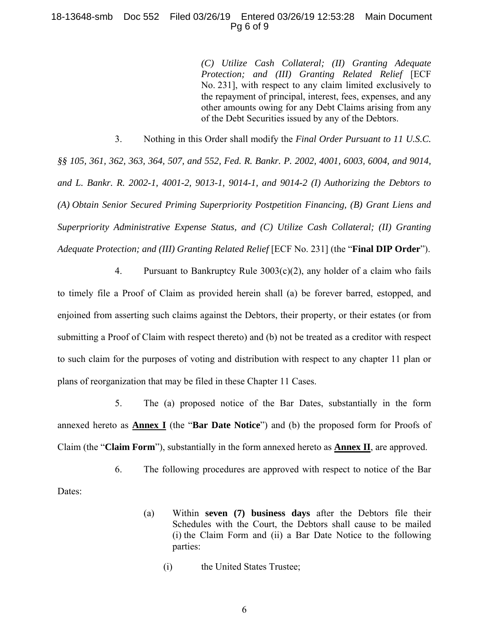## 18-13648-smb Doc 552 Filed 03/26/19 Entered 03/26/19 12:53:28 Main Document Pg 6 of 9

*(C) Utilize Cash Collateral; (II) Granting Adequate Protection; and (III) Granting Related Relief* [ECF No. 231], with respect to any claim limited exclusively to the repayment of principal, interest, fees, expenses, and any other amounts owing for any Debt Claims arising from any of the Debt Securities issued by any of the Debtors.

3. Nothing in this Order shall modify the *Final Order Pursuant to 11 U.S.C.* 

*§§ 105, 361, 362, 363, 364, 507, and 552, Fed. R. Bankr. P. 2002, 4001, 6003, 6004, and 9014, and L. Bankr. R. 2002-1, 4001-2, 9013-1, 9014-1, and 9014-2 (I) Authorizing the Debtors to (A) Obtain Senior Secured Priming Superpriority Postpetition Financing, (B) Grant Liens and Superpriority Administrative Expense Status, and (C) Utilize Cash Collateral; (II) Granting Adequate Protection; and (III) Granting Related Relief* [ECF No. 231] (the "**Final DIP Order**").

4. Pursuant to Bankruptcy Rule 3003(c)(2), any holder of a claim who fails to timely file a Proof of Claim as provided herein shall (a) be forever barred, estopped, and enjoined from asserting such claims against the Debtors, their property, or their estates (or from submitting a Proof of Claim with respect thereto) and (b) not be treated as a creditor with respect to such claim for the purposes of voting and distribution with respect to any chapter 11 plan or plans of reorganization that may be filed in these Chapter 11 Cases.

5. The (a) proposed notice of the Bar Dates, substantially in the form annexed hereto as **Annex I** (the "**Bar Date Notice**") and (b) the proposed form for Proofs of Claim (the "**Claim Form**"), substantially in the form annexed hereto as **Annex II**, are approved.

6. The following procedures are approved with respect to notice of the Bar Dates:

- (a) Within **seven (7) business days** after the Debtors file their Schedules with the Court, the Debtors shall cause to be mailed (i) the Claim Form and (ii) a Bar Date Notice to the following parties:
	- (i) the United States Trustee;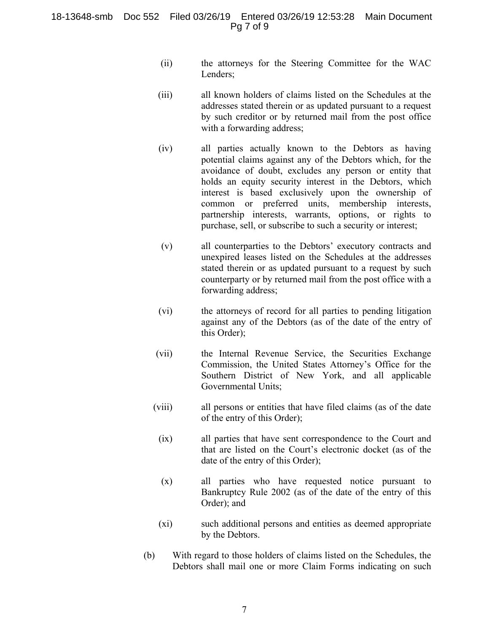### 18-13648-smb Doc 552 Filed 03/26/19 Entered 03/26/19 12:53:28 Main Document Pg 7 of 9

- (ii) the attorneys for the Steering Committee for the WAC Lenders:
- (iii) all known holders of claims listed on the Schedules at the addresses stated therein or as updated pursuant to a request by such creditor or by returned mail from the post office with a forwarding address;
- (iv) all parties actually known to the Debtors as having potential claims against any of the Debtors which, for the avoidance of doubt, excludes any person or entity that holds an equity security interest in the Debtors, which interest is based exclusively upon the ownership of common or preferred units, membership interests, partnership interests, warrants, options, or rights to purchase, sell, or subscribe to such a security or interest;
- (v) all counterparties to the Debtors' executory contracts and unexpired leases listed on the Schedules at the addresses stated therein or as updated pursuant to a request by such counterparty or by returned mail from the post office with a forwarding address;
- (vi) the attorneys of record for all parties to pending litigation against any of the Debtors (as of the date of the entry of this Order);
- (vii) the Internal Revenue Service, the Securities Exchange Commission, the United States Attorney's Office for the Southern District of New York, and all applicable Governmental Units;
- (viii) all persons or entities that have filed claims (as of the date of the entry of this Order);
	- (ix) all parties that have sent correspondence to the Court and that are listed on the Court's electronic docket (as of the date of the entry of this Order);
	- (x) all parties who have requested notice pursuant to Bankruptcy Rule 2002 (as of the date of the entry of this Order); and
	- (xi) such additional persons and entities as deemed appropriate by the Debtors.
- (b) With regard to those holders of claims listed on the Schedules, the Debtors shall mail one or more Claim Forms indicating on such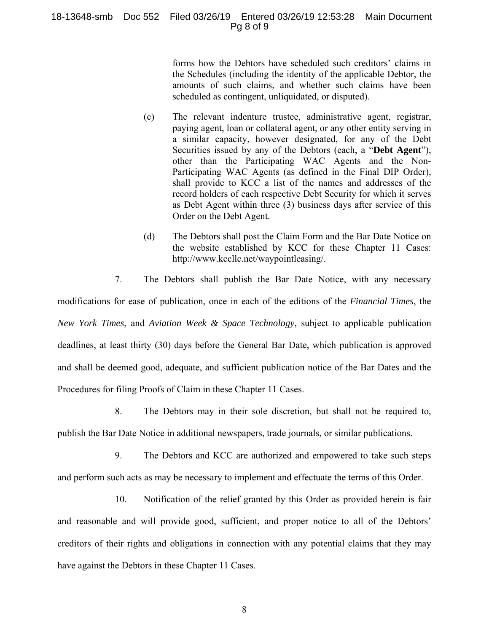#### 18-13648-smb Doc 552 Filed 03/26/19 Entered 03/26/19 12:53:28 Main Document Pg 8 of 9

forms how the Debtors have scheduled such creditors' claims in the Schedules (including the identity of the applicable Debtor, the amounts of such claims, and whether such claims have been scheduled as contingent, unliquidated, or disputed).

- (c) The relevant indenture trustee, administrative agent, registrar, paying agent, loan or collateral agent, or any other entity serving in a similar capacity, however designated, for any of the Debt Securities issued by any of the Debtors (each, a "**Debt Agent**"), other than the Participating WAC Agents and the Non-Participating WAC Agents (as defined in the Final DIP Order), shall provide to KCC a list of the names and addresses of the record holders of each respective Debt Security for which it serves as Debt Agent within three (3) business days after service of this Order on the Debt Agent.
- (d) The Debtors shall post the Claim Form and the Bar Date Notice on the website established by KCC for these Chapter 11 Cases: http://www.kccllc.net/waypointleasing/.
- 7. The Debtors shall publish the Bar Date Notice, with any necessary

modifications for ease of publication, once in each of the editions of the *Financial Times*, the *New York Times*, and *Aviation Week & Space Technology*, subject to applicable publication deadlines, at least thirty (30) days before the General Bar Date, which publication is approved and shall be deemed good, adequate, and sufficient publication notice of the Bar Dates and the Procedures for filing Proofs of Claim in these Chapter 11 Cases.

- 8. The Debtors may in their sole discretion, but shall not be required to, publish the Bar Date Notice in additional newspapers, trade journals, or similar publications.
- 9. The Debtors and KCC are authorized and empowered to take such steps and perform such acts as may be necessary to implement and effectuate the terms of this Order.

10. Notification of the relief granted by this Order as provided herein is fair and reasonable and will provide good, sufficient, and proper notice to all of the Debtors' creditors of their rights and obligations in connection with any potential claims that they may have against the Debtors in these Chapter 11 Cases.